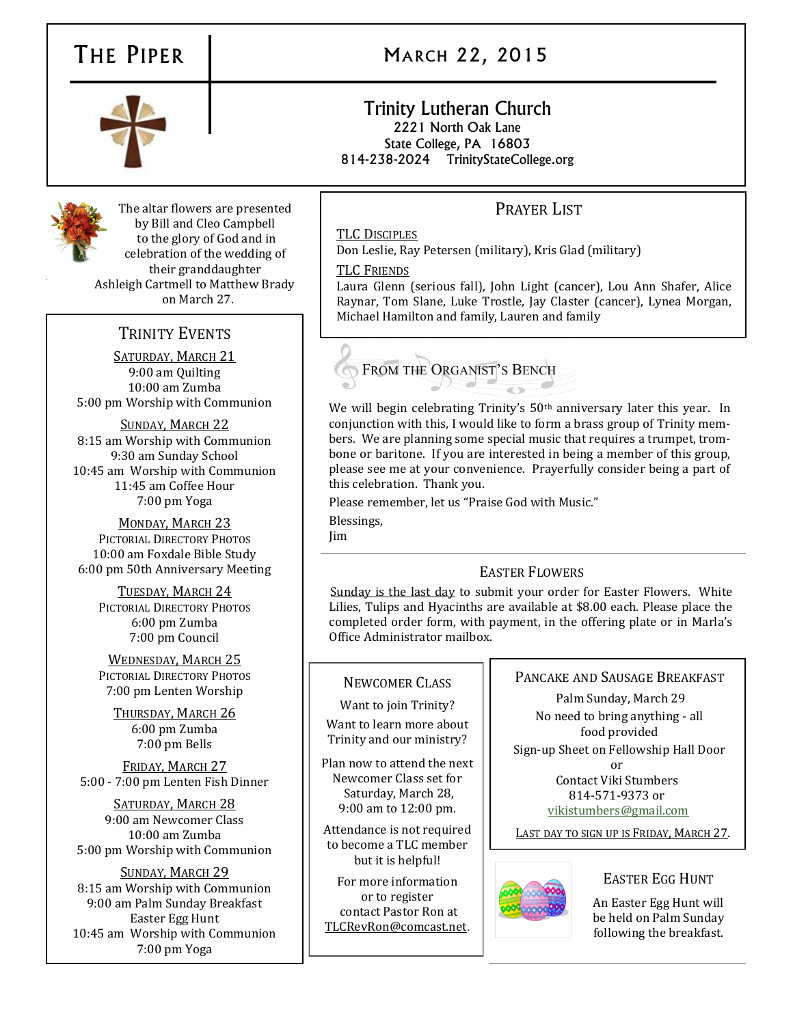# THE PIPER | MARCH 22, 2015

## Trinity Lutheran Church 2221 North Oak Lane State College, PA 16803 814-238-2024 TrinityStateCollege.org



The altar flowers are presented by Bill and Cleo Campbell to the glory of God and in celebration of the wedding of their granddaughter Ashleigh Cartmell to Matthew Brady on March 27.

## TRINITY EVENTS

SATURDAY, MARCH 21 9:00 am Quilting 10:00 am Zumba 5:00 pm Worship with Communion

SUNDAY, MARCH 22 8:15 am Worship with Communion 9:30 am Sunday School 10:45 am Worship with Communion 11:45 am Coffee Hour 7:00 pm Yoga

MONDAY, MARCH 23 PICTORIAL DIRECTORY PHOTOS 10:00 am Foxdale Bible Study 6:00 pm 50th Anniversary Meeting

> TUESDAY, MARCH 24 PICTORIAL DIRECTORY PHOTOS 6:00 pm Zumba 7:00 pm Council

> WEDNESDAY, MARCH 25 PICTORIAL DIRECTORY PHOTOS 7:00 pm Lenten Worship

THURSDAY, MARCH 26 6:00 pm Zumba 7:00 pm Bells

FRIDAY, MARCH 27 5:00 - 7:00 pm Lenten Fish Dinner

SATURDAY, MARCH 28 9:00 am Newcomer Class 10:00 am Zumba 5:00 pm Worship with Communion

SUNDAY, MARCH 29 8:15 am Worship with Communion 9:00 am Palm Sunday Breakfast Easter Egg Hunt 10:45 am Worship with Communion 7:00 pm Yoga

## PRAYER LIST

## TLC DISCIPLES

Don Leslie, Ray Petersen (military), Kris Glad (military)

## TLC FRIENDS

Laura Glenn (serious fall), John Light (cancer), Lou Ann Shafer, Alice Raynar, Tom Slane, Luke Trostle, Jay Claster (cancer), Lynea Morgan, Michael Hamilton and family, Lauren and family



We will begin celebrating Trinity's  $50<sup>th</sup>$  anniversary later this year. In conjunction with this, I would like to form a brass group of Trinity members. We are planning some special music that requires a trumpet, trombone or baritone. If you are interested in being a member of this group, please see me at your convenience. Prayerfully consider being a part of this celebration. Thank you.

Please remember, let us "Praise God with Music."

Blessings, Jim

## EASTER FLOWERS

Sunday is the last day to submit your order for Easter Flowers. White Lilies, Tulips and Hyacinths are available at \$8.00 each. Please place the completed order form, with payment, in the offering plate or in Marla's Office Administrator mailbox.

## NEWCOMER CLASS

Want to join Trinity?

Want to learn more about Trinity and our ministry?

Plan now to attend the next Newcomer Class set for Saturday, March 28, 9:00 am to 12:00 pm.

Attendance is not required to become a TLC member but it is helpful!

For more information or to register contact Pastor Ron at [TLCRevRon@comcast.net](mailto:TLCRevRon@comcast.net).

## PANCAKE AND SAUSAGE BREAKFAST

Palm Sunday, March 29 No need to bring anything - all food provided

Sign-up Sheet on Fellowship Hall Door

or Contact Viki Stumbers 814-571-9373 or [vikistumbers@gmail.com](mailto:vikistumbers@gmail.com)

LAST DAY TO SIGN UP IS FRIDAY, MARCH 27.



## EASTER EGG HUNT

An Easter Egg Hunt will be held on Palm Sunday following the breakfast.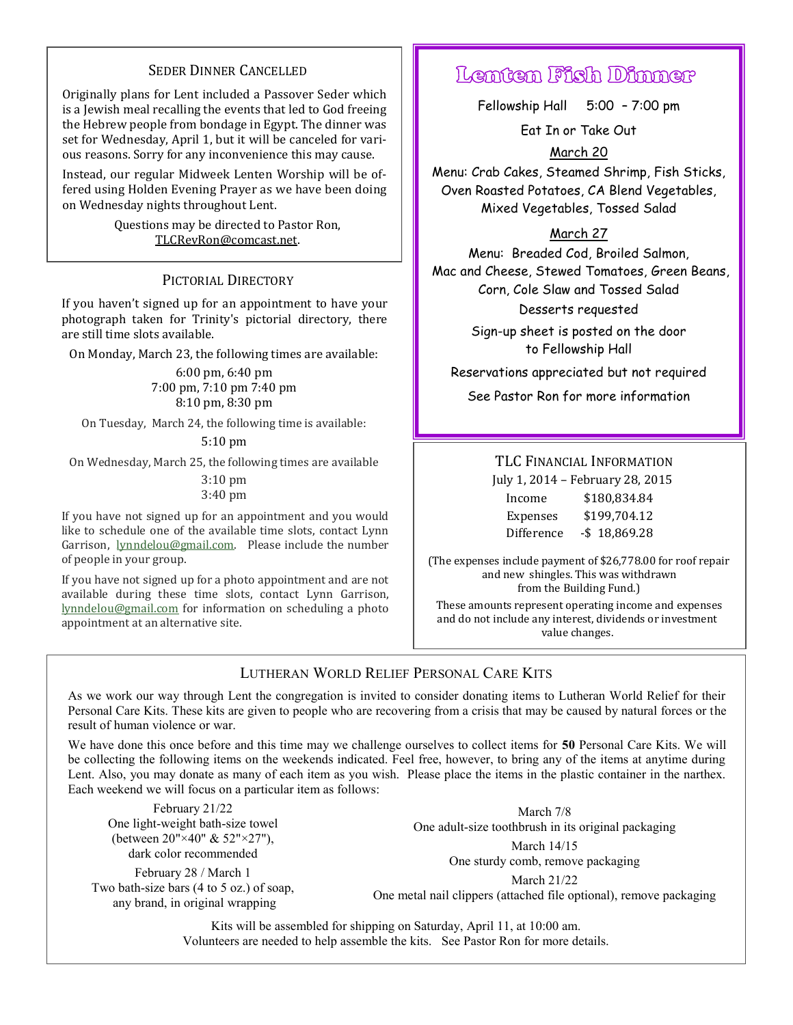### SEDER DINNER CANCELLED

Originally plans for Lent included a Passover Seder which is a Jewish meal recalling the events that led to God freeing the Hebrew people from bondage in Egypt. The dinner was set for Wednesday, April 1, but it will be canceled for various reasons. Sorry for any inconvenience this may cause.

Instead, our regular Midweek Lenten Worship will be offered using Holden Evening Prayer as we have been doing on Wednesday nights throughout Lent.

> Questions may be directed to Pastor Ron, [TLCRevRon@comcast.net.](mailto:TLCRevRon@comcast.net)

## PICTORIAL DIRECTORY

If you haven't signed up for an appointment to have your photograph taken for Trinity's pictorial directory, there are still time slots available.

On Monday, March 23, the following times are available:

6:00 pm, 6:40 pm 7:00 pm, 7:10 pm 7:40 pm 8:10 pm, 8:30 pm

On Tuesday, March 24, the following time is available:

### 5:10 pm

On Wednesday, March 25, the following times are available

#### 3:10 pm 3:40 pm

If you have not signed up for an appointment and you would like to schedule one of the available time slots, contact Lynn Garrison, [lynndelou@gmail.com.](mailto:lynndelou@gmail.com) Please include the number of people in your group.

If you have not signed up for a photo appointment and are not available during these time slots, contact Lynn Garrison, [lynndelou@gmail.com](mailto:lynndelou@gmail.com) for information on scheduling a photo appointment at an alternative site.

# Lenten Fish Dinner

Fellowship Hall 5:00 – 7:00 pm

Eat In or Take Out

## March 20

Menu: Crab Cakes, Steamed Shrimp, Fish Sticks, Oven Roasted Potatoes, CA Blend Vegetables, Mixed Vegetables, Tossed Salad

## March 27

Menu: Breaded Cod, Broiled Salmon, Mac and Cheese, Stewed Tomatoes, Green Beans, Corn, Cole Slaw and Tossed Salad Desserts requested

> Sign-up sheet is posted on the door to Fellowship Hall

Reservations appreciated but not required

See Pastor Ron for more information

### TLC FINANCIAL INFORMATION

July 1, 2014 – February 28, 2015

| Income     | \$180,834.84    |
|------------|-----------------|
| Expenses   | \$199,704.12    |
| Difference | $-$ \$18,869.28 |

(The expenses include payment of \$26,778.00 for roof repair and new shingles. This was withdrawn from the Building Fund.)

These amounts represent operating income and expenses and do not include any interest, dividends or investment value changes.

## LUTHERAN WORLD RELIEF PERSONAL CARE KITS

As we work our way through Lent the congregation is invited to consider donating items to Lutheran World Relief for their Personal Care Kits. These kits are given to people who are recovering from a crisis that may be caused by natural forces or the result of human violence or war.

We have done this once before and this time may we challenge ourselves to collect items for **50** Personal Care Kits. We will be collecting the following items on the weekends indicated. Feel free, however, to bring any of the items at anytime during Lent. Also, you may donate as many of each item as you wish. Please place the items in the plastic container in the narthex. Each weekend we will focus on a particular item as follows:

February 21/22 One light-weight bath-size towel (between 20"×40" & 52"×27"), dark color recommended February 28 / March 1 Two bath-size bars (4 to 5 oz.) of soap, any brand, in original wrapping

March 7/8 One adult-size toothbrush in its original packaging March 14/15

One sturdy comb, remove packaging

March 21/22 One metal nail clippers (attached file optional), remove packaging

Kits will be assembled for shipping on Saturday, April 11, at 10:00 am. Volunteers are needed to help assemble the kits. See Pastor Ron for more details.